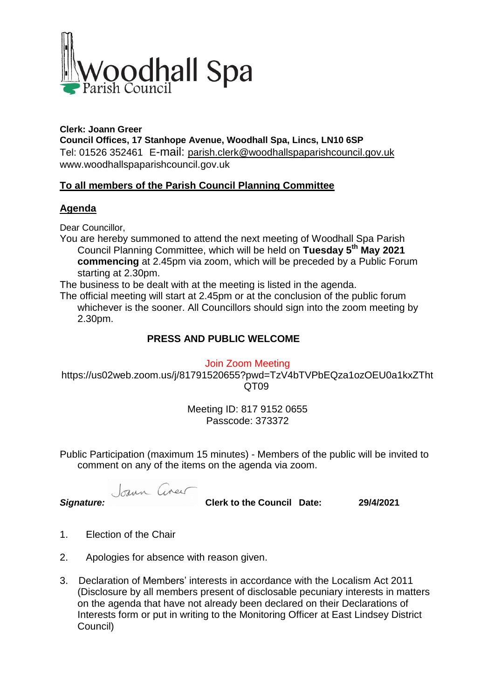

#### **Clerk: Joann Greer Council Offices, 17 Stanhope Avenue, Woodhall Spa, Lincs, LN10 6SP** Tel: 01526 352461 E-mail: parish.clerk@woodhallspaparishcouncil.gov.uk www.woodhallspaparishcouncil.gov.uk

# **To all members of the Parish Council Planning Committee**

### **Agenda**

Dear Councillor,

You are hereby summoned to attend the next meeting of Woodhall Spa Parish Council Planning Committee, which will be held on **Tuesday 5 th May 2021 commencing** at 2.45pm via zoom, which will be preceded by a Public Forum starting at 2.30pm.

The business to be dealt with at the meeting is listed in the agenda.

The official meeting will start at 2.45pm or at the conclusion of the public forum whichever is the sooner. All Councillors should sign into the zoom meeting by 2.30pm.

### **PRESS AND PUBLIC WELCOME**

Join Zoom Meeting

https://us02web.zoom.us/j/81791520655?pwd=TzV4bTVPbEQza1ozOEU0a1kxZTht QT09

> Meeting ID: 817 9152 0655 Passcode: 373372

Public Participation (maximum 15 minutes) - Members of the public will be invited to comment on any of the items on the agenda via zoom.

Joann Cineu

*Signature:* **Clerk to the Council Date: 29/4/2021**

- 1. Election of the Chair
- 2. Apologies for absence with reason given.
- 3. Declaration of Members' interests in accordance with the Localism Act 2011 (Disclosure by all members present of disclosable pecuniary interests in matters on the agenda that have not already been declared on their Declarations of Interests form or put in writing to the Monitoring Officer at East Lindsey District Council)